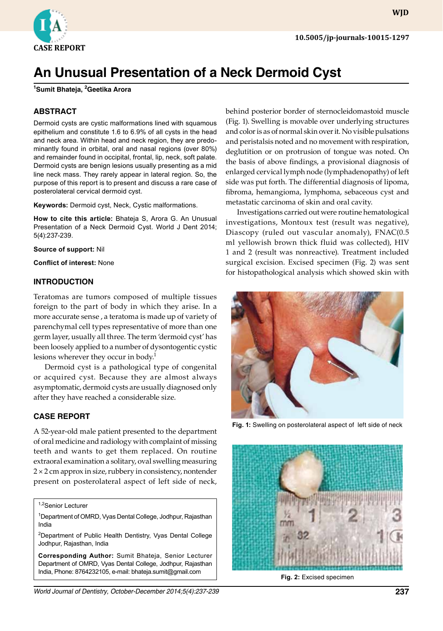

# **An Unusual Presentation of a Neck Dermoid Cyst**

**1 Sumit Bhateja, 2 Geetika Arora**

## **ABSTRACT**

Dermoid cysts are cystic malformations lined with squamous epithelium and constitute 1.6 to 6.9% of all cysts in the head and neck area. Within head and neck region, they are predominantly found in orbital, oral and nasal regions (over 80%) and remainder found in occipital, frontal, lip, neck, soft palate. Dermoid cysts are benign lesions usually presenting as a mid line neck mass. They rarely appear in lateral region. So, the purpose of this report is to present and discuss a rare case of posterolateral cervical dermoid cyst.

**Keywords:** Dermoid cyst, Neck, Cystic malformations.

**How to cite this article:** Bhateja S, Arora G. An Unusual Presentation of a Neck Dermoid Cyst. World J Dent 2014; 5(4):237-239.

**Source of support:** Nil

**Conflict of interest:** None

#### **Introduction**

Teratomas are tumors composed of multiple tissues foreign to the part of body in which they arise. In a more accurate sense , a teratoma is made up of variety of parenchymal cell types representative of more than one germ layer, usually all three. The term 'dermoid cyst' has been loosely applied to a number of dysontogentic cystic lesions wherever they occur in body.<sup>1</sup>

Dermoid cyst is a pathological type of congenital or acquired cyst. Because they are almost always asymptomatic, dermoid cysts are usually diagnosed only after they have reached a considerable size.

#### **Case Report**

A 52-year-old male patient presented to the department of oral medicine and radiology with complaint of missing teeth and wants to get them replaced. On routine extraoral examination a solitary, oval swelling measuring  $2 \times 2$  cm approx in size, rubbery in consistency, nontender present on posterolateral aspect of left side of neck,

1,2Senior Lecturer

1 Department of OMRD, Vyas Dental College, Jodhpur, Rajasthan India

<sup>2</sup>Department of Public Health Dentistry, Vyas Dental College Jodhpur, Rajasthan, India

**Corresponding Author:** Sumit Bhateja, Senior Lecturer Department of OMRD, Vyas Dental College, Jodhpur, Rajasthan India, Phone: 8764232105, e-mail: bhateja.sumit@gmail.com

behind posterior border of sternocleidomastoid muscle (Fig. 1). Swelling is movable over underlying structures and color is as of normal skin over it. No visible pulsations and peristalsis noted and no movement with respiration, deglutition or on protrusion of tongue was noted. On the basis of above findings, a provisional diagnosis of enlarged cervical lymph node (lymphadenopathy) of left side was put forth. The differential diagnosis of lipoma, fibroma, hemangioma, lymphoma, sebaceous cyst and metastatic carcinoma of skin and oral cavity.

Investigations carried out were routine hematological investigations, Montoux test (result was negative), Diascopy (ruled out vascular anomaly), FNAC(0.5 ml yellowish brown thick fluid was collected), HIV 1 and 2 (result was nonreactive). Treatment included surgical excision. Excised specimen (Fig. 2) was sent for histopathological analysis which showed skin with



**Fig. 1:** Swelling on posterolateral aspect of left side of neck



**Fig. 2:** Excised specimen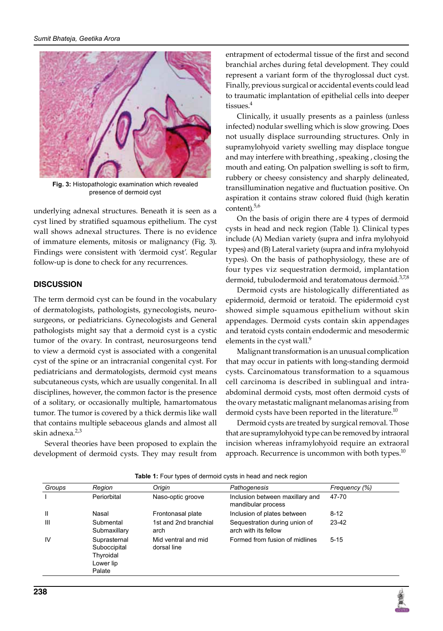

**Fig. 3:** Histopathologic examination which revealed presence of dermoid cyst

underlying adnexal structures. Beneath it is seen as a cyst lined by stratified squamous epithelium. The cyst wall shows adnexal structures. There is no evidence of immature elements, mitosis or malignancy (Fig. 3). Findings were consistent with 'dermoid cyst'. Regular follow-up is done to check for any recurrences.

#### **Discussion**

The term dermoid cyst can be found in the vocabulary of dermatologists, pathologists, gynecologists, neurosurgeons, or pediatricians. Gynecologists and General pathologists might say that a dermoid cyst is a cystic tumor of the ovary. In contrast, neurosurgeons tend to view a dermoid cyst is associated with a congenital cyst of the spine or an intracranial congenital cyst. For pediatricians and dermatologists, dermoid cyst means subcutaneous cysts, which are usually congenital. In all disciplines, however, the common factor is the presence of a solitary, or occasionally multiple, hamartomatous tumor. The tumor is covered by a thick dermis like wall that contains multiple sebaceous glands and almost all skin adnexa.<sup>2,3</sup>

Several theories have been proposed to explain the development of dermoid cysts. They may result from entrapment of ectodermal tissue of the first and second branchial arches during fetal development. They could represent a variant form of the thyroglossal duct cyst. Finally, previous surgical or accidental events could lead to traumatic implantation of epithelial cells into deeper tissues.<sup>4</sup>

Clinically, it usually presents as a painless (unless infected) nodular swelling which is slow growing. Does not usually displace surrounding structures. Only in supramylohyoid variety swelling may displace tongue and may interfere with breathing , speaking , closing the mouth and eating. On palpation swelling is soft to firm, rubbery or cheesy consistency and sharply delineated, transillumination negative and fluctuation positive. On aspiration it contains straw colored fluid (high keratin content). $5,6$ 

On the basis of origin there are 4 types of dermoid cysts in head and neck region (Table 1). Clinical types include (A) Median variety (supra and infra mylohyoid types) and (B) Lateral variety (supra and infra mylohyoid types). On the basis of pathophysiology, these are of four types viz sequestration dermoid, implantation dermoid, tubulodermoid and teratomatous dermoid.<sup>3,7,8</sup>

Dermoid cysts are histologically differentiated as epidermoid, dermoid or teratoid. The epidermoid cyst showed simple squamous epithelium without skin appendages. Dermoid cysts contain skin appendages and teratoid cysts contain endodermic and mesodermic elements in the cyst wall.<sup>9</sup>

Malignant transformation is an unusual complication that may occur in patients with long-standing dermoid cysts. Carcinomatous transformation to a squamous cell carcinoma is described in sublingual and intraabdominal dermoid cysts, most often dermoid cysts of the ovary metastatic malignant melanomas arising from dermoid cysts have been reported in the literature.<sup>10</sup>

Dermoid cysts are treated by surgical removal. Those that are supramylohyoid type can be removed by intraoral incision whereas inframylohyoid require an extraoral approach. Recurrence is uncommon with both types. $^{10}$ 

| Groups | Region                                                           | Origin                             | Pathogenesis                                          | Frequency (%) |
|--------|------------------------------------------------------------------|------------------------------------|-------------------------------------------------------|---------------|
|        | Periorbital                                                      | Naso-optic groove                  | Inclusion between maxillary and<br>mandibular process | 47-70         |
| Ш      | Nasal                                                            | Frontonasal plate                  | Inclusion of plates between                           | $8 - 12$      |
| Ш      | Submental<br>Submaxillary                                        | 1st and 2nd branchial<br>arch      | Sequestration during union of<br>arch with its fellow | 23-42         |
| IV     | Suprasternal<br>Suboccipital<br>Thyroidal<br>Lower lip<br>Palate | Mid ventral and mid<br>dorsal line | Formed from fusion of midlines                        | $5 - 15$      |

**Table 1:** Four types of dermoid cysts in head and neck region